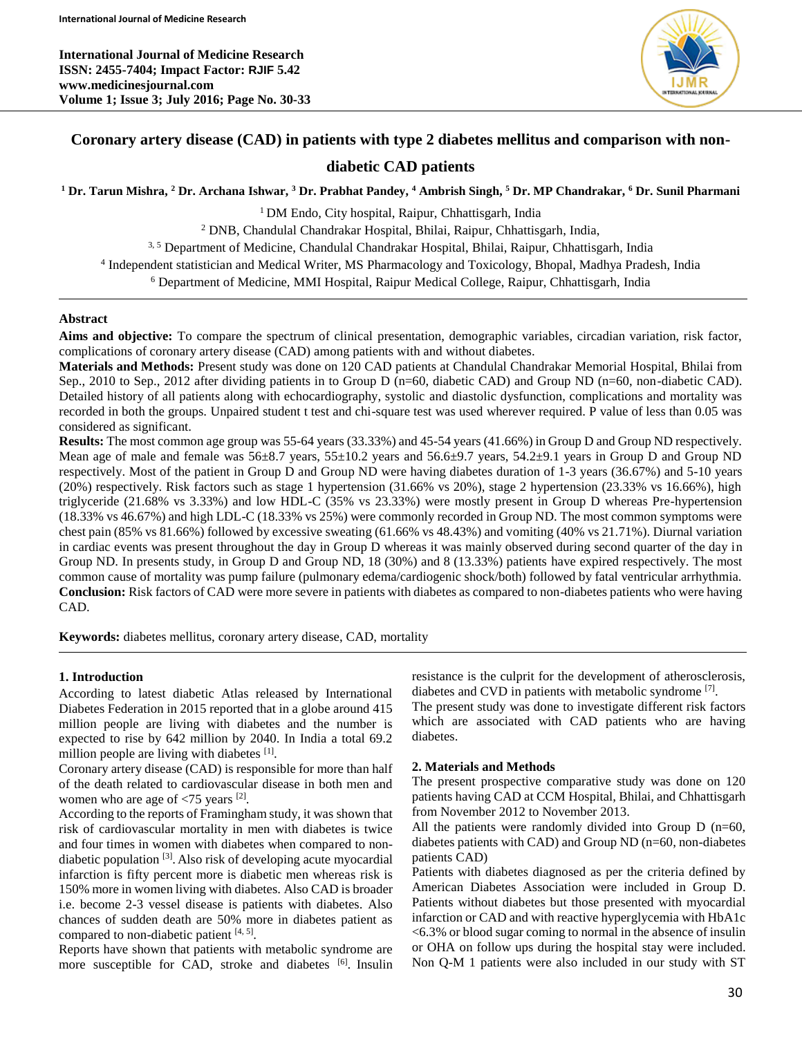

# **Coronary artery disease (CAD) in patients with type 2 diabetes mellitus and comparison with non-**

# **diabetic CAD patients**

**<sup>1</sup> Dr. Tarun Mishra, <sup>2</sup> Dr. Archana Ishwar, <sup>3</sup> Dr. Prabhat Pandey, <sup>4</sup> Ambrish Singh, <sup>5</sup> Dr. MP Chandrakar, <sup>6</sup> Dr. Sunil Pharmani**

<sup>1</sup> DM Endo, City hospital, Raipur, Chhattisgarh, India

<sup>2</sup> DNB, Chandulal Chandrakar Hospital, Bhilai, Raipur, Chhattisgarh, India,

3, 5 Department of Medicine, Chandulal Chandrakar Hospital, Bhilai, Raipur, Chhattisgarh, India

4 Independent statistician and Medical Writer, MS Pharmacology and Toxicology, Bhopal, Madhya Pradesh, India

<sup>6</sup> Department of Medicine, MMI Hospital, Raipur Medical College, Raipur, Chhattisgarh, India

### **Abstract**

**Aims and objective:** To compare the spectrum of clinical presentation, demographic variables, circadian variation, risk factor, complications of coronary artery disease (CAD) among patients with and without diabetes.

**Materials and Methods:** Present study was done on 120 CAD patients at Chandulal Chandrakar Memorial Hospital, Bhilai from Sep., 2010 to Sep., 2012 after dividing patients in to Group D (n=60, diabetic CAD) and Group ND (n=60, non-diabetic CAD). Detailed history of all patients along with echocardiography, systolic and diastolic dysfunction, complications and mortality was recorded in both the groups. Unpaired student t test and chi-square test was used wherever required. P value of less than 0.05 was considered as significant.

**Results:** The most common age group was 55-64 years (33.33%) and 45-54 years (41.66%) in Group D and Group ND respectively. Mean age of male and female was 56±8.7 years, 55±10.2 years and 56.6±9.7 years, 54.2±9.1 years in Group D and Group ND respectively. Most of the patient in Group D and Group ND were having diabetes duration of 1-3 years (36.67%) and 5-10 years (20%) respectively. Risk factors such as stage 1 hypertension (31.66% vs 20%), stage 2 hypertension (23.33% vs 16.66%), high triglyceride (21.68% vs 3.33%) and low HDL-C (35% vs 23.33%) were mostly present in Group D whereas Pre-hypertension (18.33% vs 46.67%) and high LDL-C (18.33% vs 25%) were commonly recorded in Group ND. The most common symptoms were chest pain (85% vs 81.66%) followed by excessive sweating (61.66% vs 48.43%) and vomiting (40% vs 21.71%). Diurnal variation in cardiac events was present throughout the day in Group D whereas it was mainly observed during second quarter of the day in Group ND. In presents study, in Group D and Group ND, 18 (30%) and 8 (13.33%) patients have expired respectively. The most common cause of mortality was pump failure (pulmonary edema/cardiogenic shock/both) followed by fatal ventricular arrhythmia. **Conclusion:** Risk factors of CAD were more severe in patients with diabetes as compared to non-diabetes patients who were having CAD.

**Keywords:** diabetes mellitus, coronary artery disease, CAD, mortality

## **1. Introduction**

According to latest diabetic Atlas released by International Diabetes Federation in 2015 reported that in a globe around 415 million people are living with diabetes and the number is expected to rise by 642 million by 2040. In India a total 69.2 million people are living with diabetes [1].

Coronary artery disease (CAD) is responsible for more than half of the death related to cardiovascular disease in both men and women who are age of  $\langle 75 \rangle$  years [2].

According to the reports of Framingham study, it was shown that risk of cardiovascular mortality in men with diabetes is twice and four times in women with diabetes when compared to nondiabetic population [3] . Also risk of developing acute myocardial infarction is fifty percent more is diabetic men whereas risk is 150% more in women living with diabetes. Also CAD is broader i.e. become 2-3 vessel disease is patients with diabetes. Also chances of sudden death are 50% more in diabetes patient as compared to non-diabetic patient  $[4, 5]$ .

Reports have shown that patients with metabolic syndrome are more susceptible for CAD, stroke and diabetes <sup>[6]</sup>. Insulin resistance is the culprit for the development of atherosclerosis, diabetes and CVD in patients with metabolic syndrome [7] .

The present study was done to investigate different risk factors which are associated with CAD patients who are having diabetes.

#### **2. Materials and Methods**

The present prospective comparative study was done on 120 patients having CAD at CCM Hospital, Bhilai, and Chhattisgarh from November 2012 to November 2013.

All the patients were randomly divided into Group D (n=60, diabetes patients with CAD) and Group ND (n=60, non-diabetes patients CAD)

Patients with diabetes diagnosed as per the criteria defined by American Diabetes Association were included in Group D. Patients without diabetes but those presented with myocardial infarction or CAD and with reactive hyperglycemia with HbA1c <6.3% or blood sugar coming to normal in the absence of insulin or OHA on follow ups during the hospital stay were included. Non Q-M 1 patients were also included in our study with ST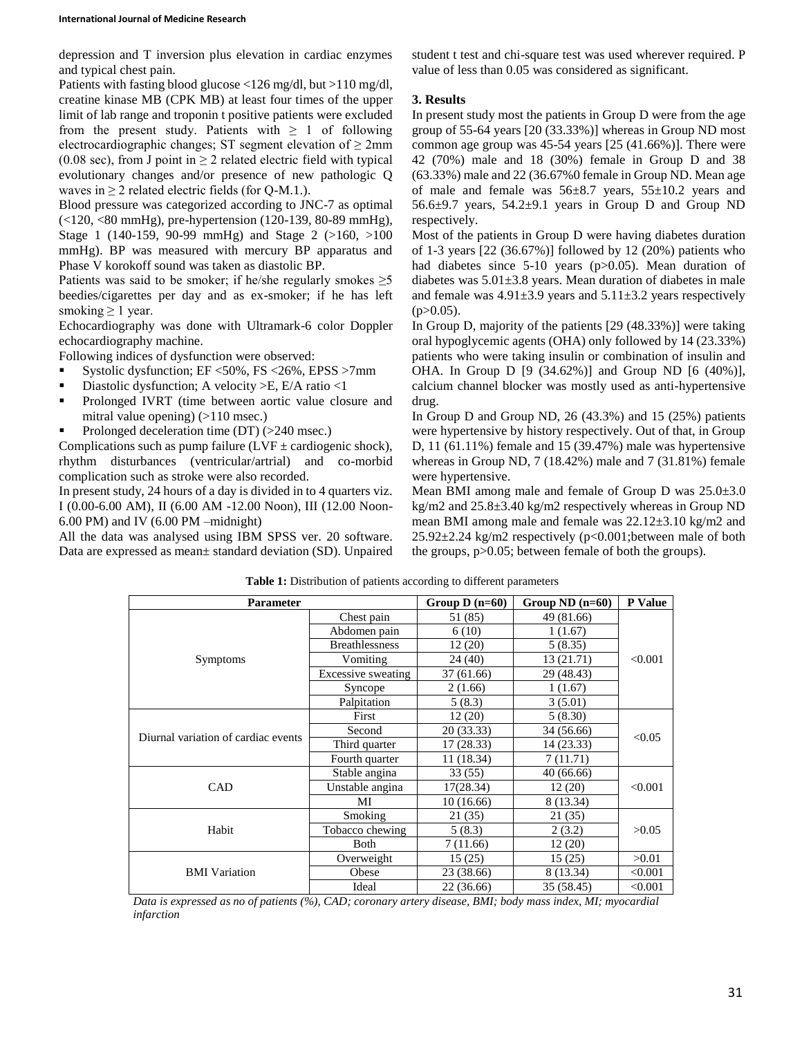depression and T inversion plus elevation in cardiac enzymes and typical chest pain.

Patients with fasting blood glucose <126 mg/dl, but >110 mg/dl, creatine kinase MB (CPK MB) at least four times of the upper limit of lab range and troponin t positive patients were excluded from the present study. Patients with  $\geq 1$  of following electrocardiographic changes; ST segment elevation of  $\geq 2$ mm (0.08 sec), from J point in  $\geq$  2 related electric field with typical evolutionary changes and/or presence of new pathologic Q waves in  $> 2$  related electric fields (for O-M.1.).

Blood pressure was categorized according to JNC-7 as optimal (<120, <80 mmHg), pre-hypertension (120-139, 80-89 mmHg), Stage 1 (140-159, 90-99 mmHg) and Stage 2 (>160, >100 mmHg). BP was measured with mercury BP apparatus and Phase V korokoff sound was taken as diastolic BP.

Patients was said to be smoker; if he/she regularly smokes  $\geq 5$ beedies/cigarettes per day and as ex-smoker; if he has left smoking  $\geq 1$  year.

Echocardiography was done with Ultramark-6 color Doppler echocardiography machine.

Following indices of dysfunction were observed:

- Systolic dysfunction; EF <50%, FS <26%, EPSS >7mm
- Diastolic dysfunction; A velocity >E, E/A ratio <1
- **•** Prolonged IVRT (time between aortic value closure and mitral value opening) (>110 msec.)
- Prolonged deceleration time  $(DT)$  ( $>240$  msec.)

Complications such as pump failure ( $LVF \pm$  cardiogenic shock), rhythm disturbances (ventricular/artrial) and co-morbid complication such as stroke were also recorded.

In present study, 24 hours of a day is divided in to 4 quarters viz. I (0.00-6.00 AM), II (6.00 AM -12.00 Noon), III (12.00 Noon-6.00 PM) and IV (6.00 PM –midnight)

All the data was analysed using IBM SPSS ver. 20 software. Data are expressed as mean± standard deviation (SD). Unpaired student t test and chi-square test was used wherever required. P value of less than 0.05 was considered as significant.

## **3. Results**

In present study most the patients in Group D were from the age group of 55-64 years [20 (33.33%)] whereas in Group ND most common age group was 45-54 years [25 (41.66%)]. There were 42 (70%) male and 18 (30%) female in Group D and 38 (63.33%) male and 22 (36.67%0 female in Group ND. Mean age of male and female was  $56\pm8.7$  years,  $55\pm10.2$  years and  $56.6\pm9.7$  years,  $54.2\pm9.1$  years in Group D and Group ND respectively.

Most of the patients in Group D were having diabetes duration of 1-3 years [22 (36.67%)] followed by 12 (20%) patients who had diabetes since 5-10 years (p>0.05). Mean duration of diabetes was  $5.01\pm3.8$  years. Mean duration of diabetes in male and female was  $4.91\pm3.9$  years and  $5.11\pm3.2$  years respectively  $(p>0.05)$ .

In Group D, majority of the patients [29 (48.33%)] were taking oral hypoglycemic agents (OHA) only followed by 14 (23.33%) patients who were taking insulin or combination of insulin and OHA. In Group D [9 (34.62%)] and Group ND [6 (40%)], calcium channel blocker was mostly used as anti-hypertensive drug.

In Group D and Group ND, 26 (43.3%) and 15 (25%) patients were hypertensive by history respectively. Out of that, in Group D, 11 (61.11%) female and 15 (39.47%) male was hypertensive whereas in Group ND, 7 (18.42%) male and 7 (31.81%) female were hypertensive.

Mean BMI among male and female of Group D was 25.0±3.0 kg/m2 and 25.8±3.40 kg/m2 respectively whereas in Group ND mean BMI among male and female was 22.12±3.10 kg/m2 and 25.92±2.24 kg/m2 respectively (p<0.001;between male of both the groups, p>0.05; between female of both the groups).

| <b>Parameter</b>                    | Group $D(n=60)$       | Group $ND$ $(n=60)$ | <b>P</b> Value |         |  |
|-------------------------------------|-----------------------|---------------------|----------------|---------|--|
|                                     | Chest pain            | 51 (85)             | 49 (81.66)     |         |  |
| Symptoms                            | Abdomen pain          | 6(10)               | 1(1.67)        |         |  |
|                                     | <b>Breathlessness</b> | 12(20)              | 5(8.35)        | < 0.001 |  |
|                                     | Vomiting              | 24 (40)             | 13 (21.71)     |         |  |
|                                     | Excessive sweating    | 37 (61.66)          | 29 (48.43)     |         |  |
|                                     | Syncope               | 2(1.66)             | 1(1.67)        |         |  |
|                                     | Palpitation           | 5(8.3)              | 3(5.01)        |         |  |
| Diurnal variation of cardiac events | First                 | 12(20)              | 5(8.30)        |         |  |
|                                     | Second                | 20 (33.33)          | 34 (56.66)     | < 0.05  |  |
|                                     | Third quarter         | 17(28.33)           | 14 (23.33)     |         |  |
|                                     | Fourth quarter        | 11 (18.34)          | 7(11.71)       |         |  |
| CAD                                 | Stable angina         | 33 (55)             | 40(66.66)      | < 0.001 |  |
|                                     | Unstable angina       | 17(28.34)           | 12(20)         |         |  |
|                                     | МI                    | 10(16.66)           | 8 (13.34)      |         |  |
| Habit                               | Smoking               | 21 (35)             | 21 (35)        | >0.05   |  |
|                                     | Tobacco chewing       | 5(8.3)              | 2(3.2)         |         |  |
|                                     | Both                  | 7(11.66)            | 12(20)         |         |  |
| <b>BMI</b> Variation                | Overweight            | 15(25)              | 15(25)         | >0.01   |  |
|                                     | Obese                 | 23 (38.66)          | 8 (13.34)      | < 0.001 |  |
|                                     | Ideal                 | 22 (36.66)          | 35 (58.45)     | < 0.001 |  |

**Table 1:** Distribution of patients according to different parameters

*Data is expressed as no of patients (%), CAD; coronary artery disease, BMI; body mass index, MI; myocardial infarction*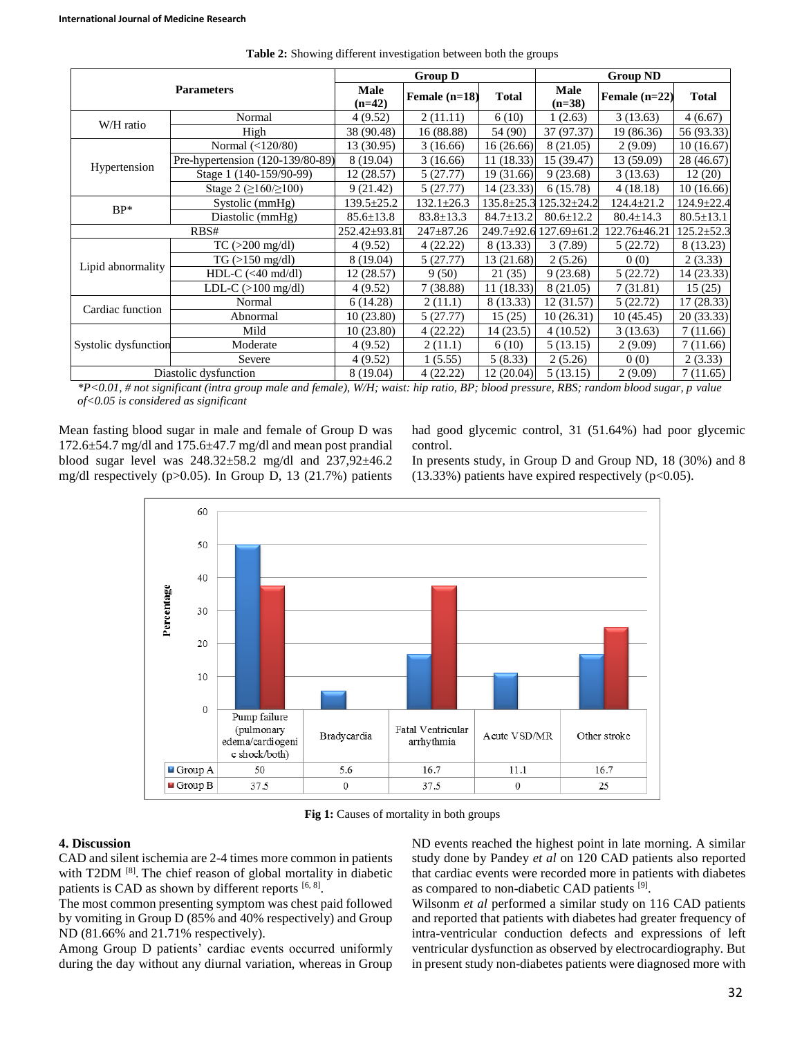| <b>Parameters</b>     |                                         | <b>Group D</b>   |                  |                  | <b>Group ND</b>   |                  |                  |
|-----------------------|-----------------------------------------|------------------|------------------|------------------|-------------------|------------------|------------------|
|                       |                                         | Male<br>$(n=42)$ | Female $(n=18)$  | Total            | Male<br>$(n=38)$  | Female $(n=22)$  | <b>Total</b>     |
| W/H ratio             | Normal                                  | 4(9.52)          | 2(11.11)         | 6(10)            | 1(2.63)           | 3(13.63)         | 4(6.67)          |
|                       | High                                    | 38 (90.48)       | 16 (88.88)       | 54 (90)          | 37 (97.37)        | 19 (86.36)       | 56 (93.33)       |
| Hypertension          | Normal $(<120/80)$                      | 13 (30.95)       | 3(16.66)         | 16 (26.66)       | 8 (21.05)         | 2(9.09)          | 10(16.67)        |
|                       | Pre-hypertension (120-139/80-89)        | 8 (19.04)        | 3(16.66)         | 11(18.33)        | 15 (39.47)        | 13 (59.09)       | 28 (46.67)       |
|                       | Stage 1 (140-159/90-99)                 | 12(28.57)        | 5(27.77)         | 19 (31.66)       | 9(23.68)          | 3(13.63)         | 12(20)           |
|                       | Stage 2 ( $\geq 160/ \geq 100$ )        | 9(21.42)         | 5(27.77)         | 14 (23.33)       | 6(15.78)          | 4(18.18)         | 10(16.66)        |
| $BP*$                 | Systolic (mmHg)                         | $139.5 \pm 25.2$ | $132.1 \pm 26.3$ | $135.8 \pm 25.3$ | $125.32 \pm 24.2$ | $124.4 \pm 21.2$ | 124.9±22.4       |
|                       | Diastolic (mmHg)                        | $85.6 \pm 13.8$  | $83.8 \pm 13.3$  | $84.7 \pm 13.2$  | $80.6 \pm 12.2$   | $80.4 \pm 14.3$  | $80.5 \pm 13.1$  |
| RBS#                  |                                         | 252.42±93.81     | $247 \pm 87.26$  | $249.7 \pm 92.6$ | 127.69±61.2       | 122.76±46.21     | $125.2 \pm 52.3$ |
| Lipid abnormality     | $TC$ ( $>200$ mg/dl)                    | 4(9.52)          | 4(22.22)         | 8 (13.33)        | 3(7.89)           | 5(22.72)         | 8 (13.23)        |
|                       | $TG \left( > 150 \text{ mg/dl} \right)$ | 8 (19.04)        | 5(27.77)         | 13 (21.68)       | 2(5.26)           | 0(0)             | 2(3.33)          |
|                       | $HDL-C$ (<40 md/dl)                     | 12 (28.57)       | 9(50)            | 21(35)           | 9(23.68)          | 5(22.72)         | 14 (23.33)       |
|                       | LDL-C $(>100 \text{ mg/dl})$            | 4(9.52)          | 7(38.88)         | 11(18.33)        | 8 (21.05)         | 7(31.81)         | 15(25)           |
| Cardiac function      | Normal                                  | 6(14.28)         | 2(11.1)          | 8 (13.33)        | 12(31.57)         | 5(22.72)         | 17 (28.33)       |
|                       | Abnormal                                | 10 (23.80)       | 5(27.77)         | 15(25)           | 10(26.31)         | 10(45.45)        | 20 (33.33)       |
| Systolic dysfunction  | Mild                                    | 10(23.80)        | 4(22.22)         | 14(23.5)         | 4(10.52)          | 3(13.63)         | 7(11.66)         |
|                       | Moderate                                | 4(9.52)          | 2(11.1)          | 6(10)            | 5(13.15)          | 2(9.09)          | 7(11.66)         |
|                       | Severe                                  | 4(9.52)          | 1(5.55)          | 5(8.33)          | 2(5.26)           | 0(0)             | 2(3.33)          |
| Diastolic dysfunction |                                         | 8 (19.04)        | 4(22.22)         | 12 (20.04)       | 5(13.15)          | 2(9.09)          | 7 (11.65)        |

**Table 2:** Showing different investigation between both the groups

*\*P<0.01, # not significant (intra group male and female), W/H; waist: hip ratio, BP; blood pressure, RBS; random blood sugar, p value of<0.05 is considered as significant*

Mean fasting blood sugar in male and female of Group D was  $172.6\pm54.7$  mg/dl and  $175.6\pm47.7$  mg/dl and mean post prandial blood sugar level was 248.32±58.2 mg/dl and 237,92±46.2 mg/dl respectively (p>0.05). In Group D, 13 (21.7%) patients had good glycemic control, 31 (51.64%) had poor glycemic control.



In presents study, in Group D and Group ND, 18 (30%) and 8 (13.33%) patients have expired respectively ( $p<0.05$ ).

**Fig 1:** Causes of mortality in both groups

## **4. Discussion**

CAD and silent ischemia are 2-4 times more common in patients with T2DM <sup>[8]</sup>. The chief reason of global mortality in diabetic patients is CAD as shown by different reports  $[6, 8]$ .

The most common presenting symptom was chest paid followed by vomiting in Group D (85% and 40% respectively) and Group ND (81.66% and 21.71% respectively).

Among Group D patients' cardiac events occurred uniformly during the day without any diurnal variation, whereas in Group ND events reached the highest point in late morning. A similar study done by Pandey *et al* on 120 CAD patients also reported that cardiac events were recorded more in patients with diabetes as compared to non-diabetic CAD patients [9].

Wilsonm *et al* performed a similar study on 116 CAD patients and reported that patients with diabetes had greater frequency of intra-ventricular conduction defects and expressions of left ventricular dysfunction as observed by electrocardiography. But in present study non-diabetes patients were diagnosed more with